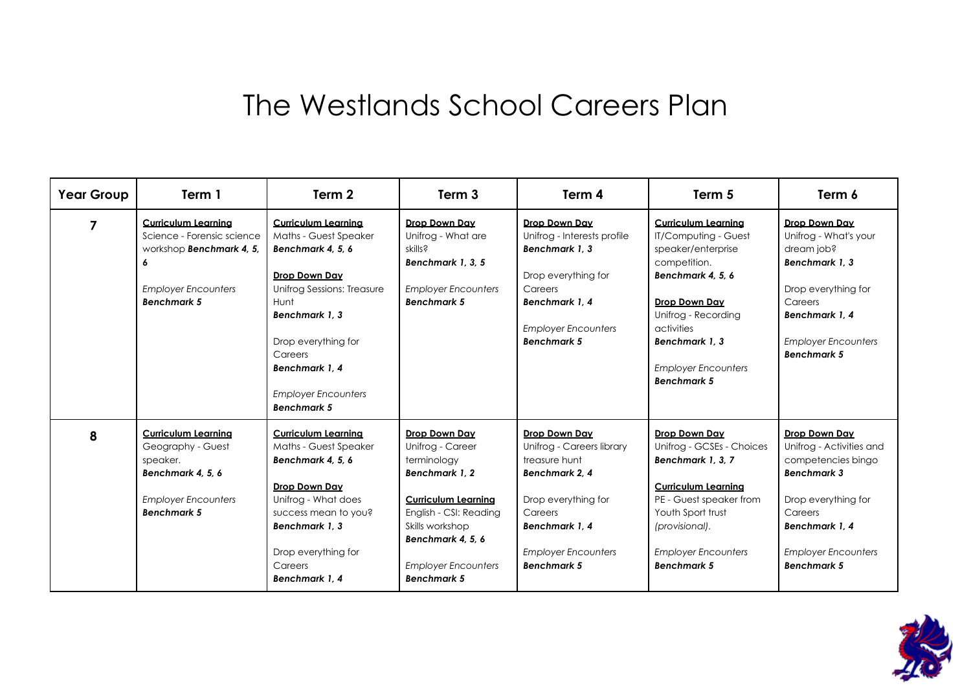## The Westlands School Careers Plan

| <b>Year Group</b> | Term 1                                                                                                                                        | Term 2                                                                                                                                                                                                                                                           | Term <sub>3</sub>                                                                                                                                                                                                     | Term 4                                                                                                                                                                               | Term 5                                                                                                                                                                                                                                          | Term 6                                                                                                                                                                                       |
|-------------------|-----------------------------------------------------------------------------------------------------------------------------------------------|------------------------------------------------------------------------------------------------------------------------------------------------------------------------------------------------------------------------------------------------------------------|-----------------------------------------------------------------------------------------------------------------------------------------------------------------------------------------------------------------------|--------------------------------------------------------------------------------------------------------------------------------------------------------------------------------------|-------------------------------------------------------------------------------------------------------------------------------------------------------------------------------------------------------------------------------------------------|----------------------------------------------------------------------------------------------------------------------------------------------------------------------------------------------|
| 7                 | <b>Curriculum Learning</b><br>Science - Forensic science<br>workshop Benchmark 4, 5,<br>6<br><b>Employer Encounters</b><br><b>Benchmark 5</b> | <b>Curriculum Learning</b><br><b>Maths - Guest Speaker</b><br>Benchmark 4, 5, 6<br>Drop Down Day<br>Unifrog Sessions: Treasure<br>Hunt<br>Benchmark 1, 3<br>Drop everything for<br>Careers<br>Benchmark 1, 4<br><b>Employer Encounters</b><br><b>Benchmark 5</b> | Drop Down Day<br>Unifrog - What are<br>skills?<br>Benchmark 1, 3, 5<br><b>Employer Encounters</b><br><b>Benchmark 5</b>                                                                                               | Drop Down Day<br>Unifrog - Interests profile<br>Benchmark 1.3<br>Drop everything for<br>Careers<br>Benchmark 1.4<br><b>Employer Encounters</b><br><b>Benchmark 5</b>                 | <b>Curriculum Learning</b><br><b>IT/Computing - Guest</b><br>speaker/enterprise<br>competition.<br>Benchmark 4, 5, 6<br>Drop Down Day<br>Unifrog - Recording<br>activities<br>Benchmark 1.3<br><b>Employer Encounters</b><br><b>Benchmark 5</b> | Drop Down Day<br>Unifrog - What's your<br>dream job?<br>Benchmark 1, 3<br>Drop everything for<br>Careers<br>Benchmark 1.4<br><b>Employer Encounters</b><br><b>Benchmark 5</b>                |
| 8                 | <b>Curriculum Learning</b><br>Geography - Guest<br>speaker.<br>Benchmark 4, 5, 6<br><b>Employer Encounters</b><br><b>Benchmark 5</b>          | <b>Curriculum Learning</b><br>Maths - Guest Speaker<br>Benchmark 4, 5, 6<br>Drop Down Day<br>Unifrog - What does<br>success mean to you?<br>Benchmark 1, 3<br>Drop everything for<br>Careers<br>Benchmark 1.4                                                    | Drop Down Day<br>Unifrog - Career<br>terminology<br>Benchmark 1.2<br><b>Curriculum Learning</b><br>English - CSI: Reading<br>Skills workshop<br>Benchmark 4, 5, 6<br><b>Employer Encounters</b><br><b>Benchmark 5</b> | Drop Down Day<br>Unifrog - Careers library<br>treasure hunt<br>Benchmark 2, 4<br>Drop everything for<br>Careers<br>Benchmark 1.4<br><b>Employer Encounters</b><br><b>Benchmark 5</b> | Drop Down Day<br>Unifrog - GCSEs - Choices<br>Benchmark 1, 3, 7<br><b>Curriculum Learning</b><br>PE - Guest speaker from<br>Youth Sport trust<br>(provisional).<br><b>Employer Encounters</b><br><b>Benchmark 5</b>                             | Drop Down Day<br>Unifrog - Activities and<br>competencies bingo<br><b>Benchmark 3</b><br>Drop everything for<br>Careers<br>Benchmark 1.4<br><b>Employer Encounters</b><br><b>Benchmark 5</b> |

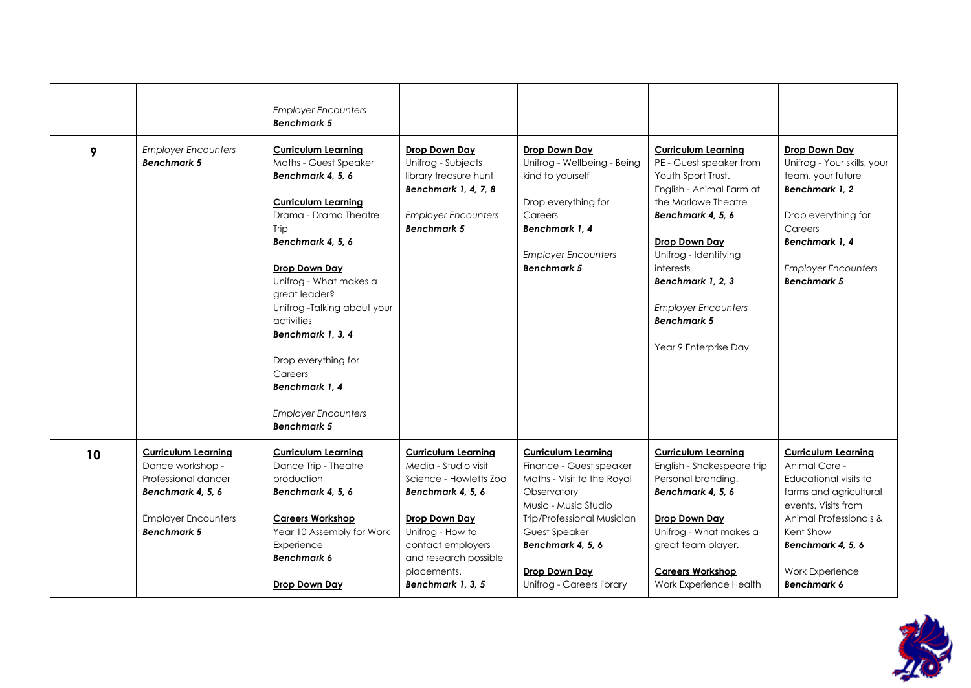|    |                                                                                                                                                | <b>Employer Encounters</b><br><b>Benchmark 5</b>                                                                                                                                                                                                                                                                                                                                                  |                                                                                                                                                                                                                          |                                                                                                                                                                                                                                                     |                                                                                                                                                                                                                                                                                                              |                                                                                                                                                                                                                            |
|----|------------------------------------------------------------------------------------------------------------------------------------------------|---------------------------------------------------------------------------------------------------------------------------------------------------------------------------------------------------------------------------------------------------------------------------------------------------------------------------------------------------------------------------------------------------|--------------------------------------------------------------------------------------------------------------------------------------------------------------------------------------------------------------------------|-----------------------------------------------------------------------------------------------------------------------------------------------------------------------------------------------------------------------------------------------------|--------------------------------------------------------------------------------------------------------------------------------------------------------------------------------------------------------------------------------------------------------------------------------------------------------------|----------------------------------------------------------------------------------------------------------------------------------------------------------------------------------------------------------------------------|
| 9  | <b>Employer Encounters</b><br><b>Benchmark 5</b>                                                                                               | <b>Curriculum Learning</b><br>Maths - Guest Speaker<br>Benchmark 4, 5, 6<br><b>Curriculum Learning</b><br>Drama - Drama Theatre<br>Trip<br>Benchmark 4, 5, 6<br>Drop Down Day<br>Unifrog - What makes a<br>great leader?<br>Unifrog -Talking about your<br>activities<br>Benchmark 1, 3, 4<br>Drop everything for<br>Careers<br>Benchmark 1.4<br><b>Employer Encounters</b><br><b>Benchmark 5</b> | Drop Down Day<br>Unifrog - Subjects<br>library treasure hunt<br>Benchmark 1, 4, 7, 8<br><b>Employer Encounters</b><br><b>Benchmark 5</b>                                                                                 | Drop Down Day<br>Unifrog - Wellbeing - Being<br>kind to yourself<br>Drop everything for<br>Careers<br>Benchmark 1.4<br><b>Employer Encounters</b><br><b>Benchmark 5</b>                                                                             | <b>Curriculum Learning</b><br>PE - Guest speaker from<br>Youth Sport Trust.<br>English - Animal Farm at<br>the Marlowe Theatre<br>Benchmark 4, 5, 6<br>Drop Down Day<br>Unifrog - Identifying<br>interests<br>Benchmark 1, 2, 3<br><b>Employer Encounters</b><br><b>Benchmark 5</b><br>Year 9 Enterprise Day | Drop Down Day<br>Unifrog - Your skills, your<br>team, your future<br>Benchmark 1, 2<br>Drop everything for<br>Careers<br>Benchmark 1.4<br><b>Employer Encounters</b><br><b>Benchmark 5</b>                                 |
| 10 | <b>Curriculum Learning</b><br>Dance workshop -<br>Professional dancer<br>Benchmark 4, 5, 6<br><b>Employer Encounters</b><br><b>Benchmark 5</b> | <b>Curriculum Learning</b><br>Dance Trip - Theatre<br>production<br>Benchmark 4, 5, 6<br><b>Careers Workshop</b><br>Year 10 Assembly for Work<br>Experience<br><b>Benchmark 6</b><br>Drop Down Day                                                                                                                                                                                                | <b>Curriculum Learning</b><br>Media - Studio visit<br>Science - Howletts Zoo<br>Benchmark 4, 5, 6<br>Drop Down Day<br>Unifrog - How to<br>contact employers<br>and research possible<br>placements.<br>Benchmark 1, 3, 5 | <b>Curriculum Learning</b><br>Finance - Guest speaker<br>Maths - Visit to the Royal<br>Observatory<br>Music - Music Studio<br>Trip/Professional Musician<br>Guest Speaker<br>Benchmark 4, 5, 6<br><b>Drop Down Day</b><br>Unifrog - Careers library | <b>Curriculum Learning</b><br>English - Shakespeare trip<br>Personal branding.<br>Benchmark 4, 5, 6<br>Drop Down Day<br>Unifrog - What makes a<br>great team player.<br><b>Careers Workshop</b><br>Work Experience Health                                                                                    | <b>Curriculum Learning</b><br>Animal Care -<br>Educational visits to<br>farms and agricultural<br>events. Visits from<br>Animal Professionals &<br>Kent Show<br>Benchmark 4, 5, 6<br>Work Experience<br><b>Benchmark 6</b> |

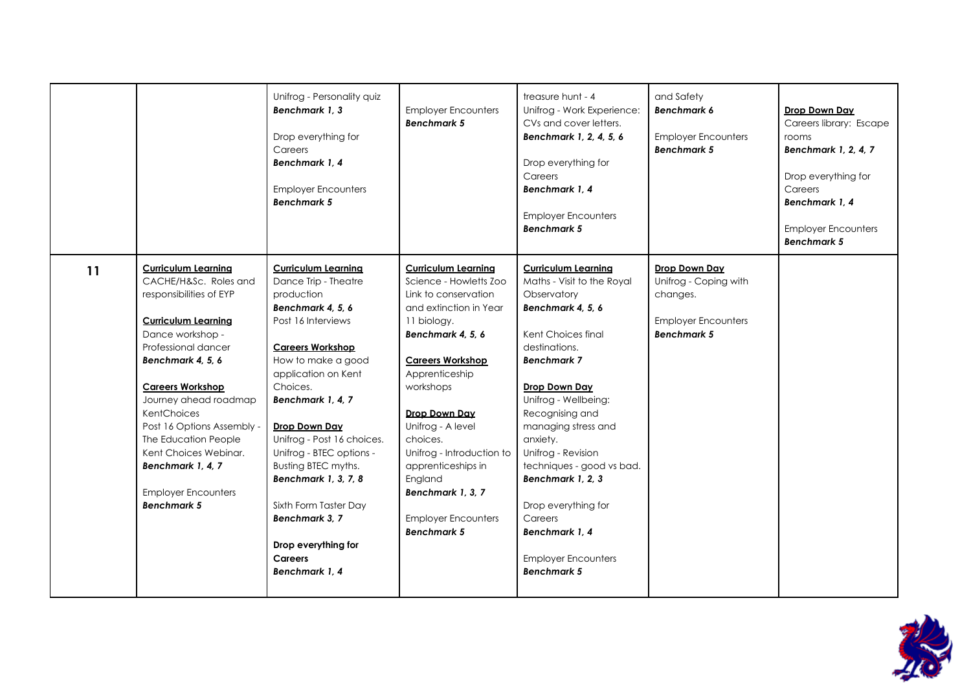|    |                                                                                                                                                                                                                                                                                                                                                                                                         | Unifrog - Personality quiz<br>Benchmark 1, 3<br>Drop everything for<br>Careers<br>Benchmark 1, 4<br><b>Employer Encounters</b><br><b>Benchmark 5</b>                                                                                                                                                                                                                                                                                                 | <b>Employer Encounters</b><br><b>Benchmark 5</b>                                                                                                                                                                                                                                                                                                                                              | treasure hunt - 4<br>Unifrog - Work Experience:<br>CVs and cover letters.<br>Benchmark 1, 2, 4, 5, 6<br>Drop everything for<br>Careers<br>Benchmark 1, 4<br><b>Employer Encounters</b><br><b>Benchmark 5</b>                                                                                                                                                                                                                             | and Safety<br><b>Benchmark 6</b><br><b>Employer Encounters</b><br><b>Benchmark 5</b>                   | Drop Down Day<br>Careers library: Escape<br>rooms<br>Benchmark 1, 2, 4, 7<br>Drop everything for<br>Careers<br>Benchmark 1, 4<br><b>Employer Encounters</b><br><b>Benchmark 5</b> |
|----|---------------------------------------------------------------------------------------------------------------------------------------------------------------------------------------------------------------------------------------------------------------------------------------------------------------------------------------------------------------------------------------------------------|------------------------------------------------------------------------------------------------------------------------------------------------------------------------------------------------------------------------------------------------------------------------------------------------------------------------------------------------------------------------------------------------------------------------------------------------------|-----------------------------------------------------------------------------------------------------------------------------------------------------------------------------------------------------------------------------------------------------------------------------------------------------------------------------------------------------------------------------------------------|------------------------------------------------------------------------------------------------------------------------------------------------------------------------------------------------------------------------------------------------------------------------------------------------------------------------------------------------------------------------------------------------------------------------------------------|--------------------------------------------------------------------------------------------------------|-----------------------------------------------------------------------------------------------------------------------------------------------------------------------------------|
| 11 | <b>Curriculum Learning</b><br>CACHE/H&Sc. Roles and<br>responsibilities of EYP<br><b>Curriculum Learning</b><br>Dance workshop -<br>Professional dancer<br>Benchmark 4, 5, 6<br><b>Careers Workshop</b><br>Journey ahead roadmap<br>KentChoices<br>Post 16 Options Assembly -<br>The Education People<br>Kent Choices Webinar.<br>Benchmark 1, 4, 7<br><b>Employer Encounters</b><br><b>Benchmark 5</b> | <b>Curriculum Learning</b><br>Dance Trip - Theatre<br>production<br>Benchmark 4, 5, 6<br>Post 16 Interviews<br><b>Careers Workshop</b><br>How to make a good<br>application on Kent<br>Choices.<br>Benchmark 1, 4, 7<br>Drop Down Day<br>Unifrog - Post 16 choices.<br>Unifrog - BTEC options -<br>Busting BTEC myths.<br>Benchmark 1, 3, 7, 8<br>Sixth Form Taster Day<br>Benchmark 3, 7<br>Drop everything for<br><b>Careers</b><br>Benchmark 1, 4 | <b>Curriculum Learning</b><br>Science - Howletts Zoo<br>Link to conservation<br>and extinction in Year<br>11 biology.<br>Benchmark 4, 5, 6<br><b>Careers Workshop</b><br>Apprenticeship<br>workshops<br>Drop Down Day<br>Unifrog - A level<br>choices.<br>Unifrog - Introduction to<br>apprenticeships in<br>England<br>Benchmark 1, 3, 7<br><b>Employer Encounters</b><br><b>Benchmark 5</b> | <b>Curriculum Learning</b><br>Maths - Visit to the Royal<br>Observatory<br>Benchmark 4, 5, 6<br>Kent Choices final<br>destinations.<br><b>Benchmark 7</b><br>Drop Down Day<br>Unifrog - Wellbeing:<br>Recognising and<br>managing stress and<br>anxiety.<br>Unifrog - Revision<br>techniques - good vs bad.<br>Benchmark 1, 2, 3<br>Drop everything for<br>Careers<br>Benchmark 1, 4<br><b>Employer Encounters</b><br><b>Benchmark 5</b> | Drop Down Day<br>Unifrog - Coping with<br>changes.<br><b>Employer Encounters</b><br><b>Benchmark 5</b> |                                                                                                                                                                                   |

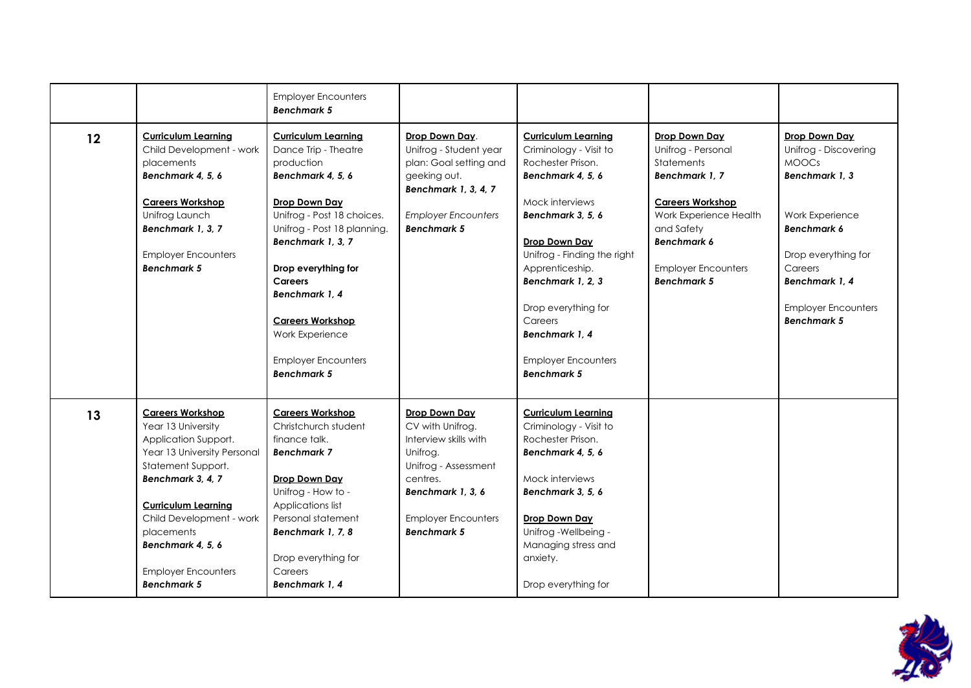|    |                                                                                                                                                                                                                                                                                                  | <b>Employer Encounters</b><br><b>Benchmark 5</b>                                                                                                                                                                                                                                                                                                      |                                                                                                                                                                                     |                                                                                                                                                                                                                                                                                                                                       |                                                                                                                                                                                                                  |                                                                                                                                                                                                                          |
|----|--------------------------------------------------------------------------------------------------------------------------------------------------------------------------------------------------------------------------------------------------------------------------------------------------|-------------------------------------------------------------------------------------------------------------------------------------------------------------------------------------------------------------------------------------------------------------------------------------------------------------------------------------------------------|-------------------------------------------------------------------------------------------------------------------------------------------------------------------------------------|---------------------------------------------------------------------------------------------------------------------------------------------------------------------------------------------------------------------------------------------------------------------------------------------------------------------------------------|------------------------------------------------------------------------------------------------------------------------------------------------------------------------------------------------------------------|--------------------------------------------------------------------------------------------------------------------------------------------------------------------------------------------------------------------------|
| 12 | <b>Curriculum Learning</b><br>Child Development - work<br>placements<br>Benchmark 4, 5, 6<br><b>Careers Workshop</b><br>Unifrog Launch<br>Benchmark 1, 3, 7<br><b>Employer Encounters</b><br><b>Benchmark 5</b>                                                                                  | <b>Curriculum Learning</b><br>Dance Trip - Theatre<br>production<br>Benchmark 4, 5, 6<br>Drop Down Day<br>Unifrog - Post 18 choices.<br>Unifrog - Post 18 planning.<br>Benchmark 1, 3, 7<br>Drop everything for<br><b>Careers</b><br>Benchmark 1, 4<br><b>Careers Workshop</b><br>Work Experience<br><b>Employer Encounters</b><br><b>Benchmark 5</b> | Drop Down Day.<br>Unifrog - Student year<br>plan: Goal setting and<br>geeking out.<br>Benchmark 1, 3, 4, 7<br><b>Employer Encounters</b><br><b>Benchmark 5</b>                      | <b>Curriculum Learning</b><br>Criminology - Visit to<br>Rochester Prison.<br>Benchmark 4, 5, 6<br>Mock interviews<br>Benchmark 3, 5, 6<br>Drop Down Day<br>Unifrog - Finding the right<br>Apprenticeship.<br>Benchmark 1, 2, 3<br>Drop everything for<br>Careers<br>Benchmark 1.4<br><b>Employer Encounters</b><br><b>Benchmark 5</b> | Drop Down Day<br>Unifrog - Personal<br>Statements<br>Benchmark 1, 7<br><b>Careers Workshop</b><br>Work Experience Health<br>and Safety<br><b>Benchmark 6</b><br><b>Employer Encounters</b><br><b>Benchmark 5</b> | Drop Down Day<br>Unifrog - Discovering<br><b>MOOCS</b><br>Benchmark 1, 3<br>Work Experience<br><b>Benchmark 6</b><br>Drop everything for<br>Careers<br>Benchmark 1.4<br><b>Employer Encounters</b><br><b>Benchmark 5</b> |
| 13 | <b>Careers Workshop</b><br>Year 13 University<br>Application Support.<br>Year 13 University Personal<br>Statement Support.<br>Benchmark 3, 4, 7<br><b>Curriculum Learning</b><br>Child Development - work<br>placements<br>Benchmark 4, 5, 6<br><b>Employer Encounters</b><br><b>Benchmark 5</b> | <b>Careers Workshop</b><br>Christchurch student<br>finance talk.<br><b>Benchmark 7</b><br>Drop Down Day<br>Unifrog - How to -<br>Applications list<br>Personal statement<br>Benchmark 1, 7, 8<br>Drop everything for<br>Careers<br>Benchmark 1.4                                                                                                      | Drop Down Day<br>CV with Unifrog.<br>Interview skills with<br>Unifrog.<br>Unifrog - Assessment<br>centres.<br>Benchmark 1, 3, 6<br><b>Employer Encounters</b><br><b>Benchmark 5</b> | <b>Curriculum Learning</b><br>Criminology - Visit to<br>Rochester Prison.<br>Benchmark 4, 5, 6<br>Mock interviews<br>Benchmark 3, 5, 6<br>Drop Down Day<br>Unifrog - Wellbeing -<br>Managing stress and<br>anxiety.<br>Drop everything for                                                                                            |                                                                                                                                                                                                                  |                                                                                                                                                                                                                          |